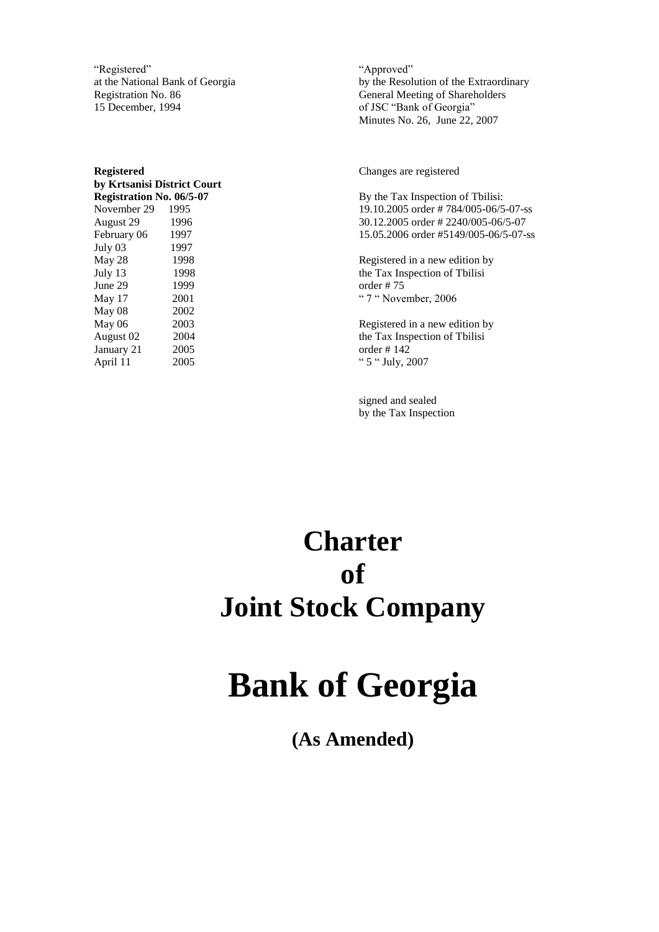"Registered" at the National Bank of Georgia Registration No. 86 15 December, 1994

**Registered by Krtsanisi District Court Registration No. 06/5-07** November 29 1995 August 29 1996 February 06 1997 July 03 1997 May 28 1998 July 13 1998 June 29 1999 May 17 2001 May 08 2002 May 06 2003 August 02 2004 January 21 2005 April 11 2005

"Approved" by the Resolution of the Extraordinary General Meeting of Shareholders of JSC "Bank of Georgia" Minutes No. 26, June 22, 2007

Changes are registered

By the Tax Inspection of Tbilisi: 19.10.2005 order # 784/005-06/5-07-ss 30.12.2005 order # 2240/005-06/5-07 15.05.2006 order #5149/005-06/5-07-ss

Registered in a new edition by the Tax Inspection of Tbilisi order # 75 " 7 " November, 2006

Registered in a new edition by the Tax Inspection of Tbilisi order # 142 " 5 " July, 2007

signed and sealed by the Tax Inspection

## **Charter of Joint Stock Company**

# **Bank of Georgia**

**(As Amended)**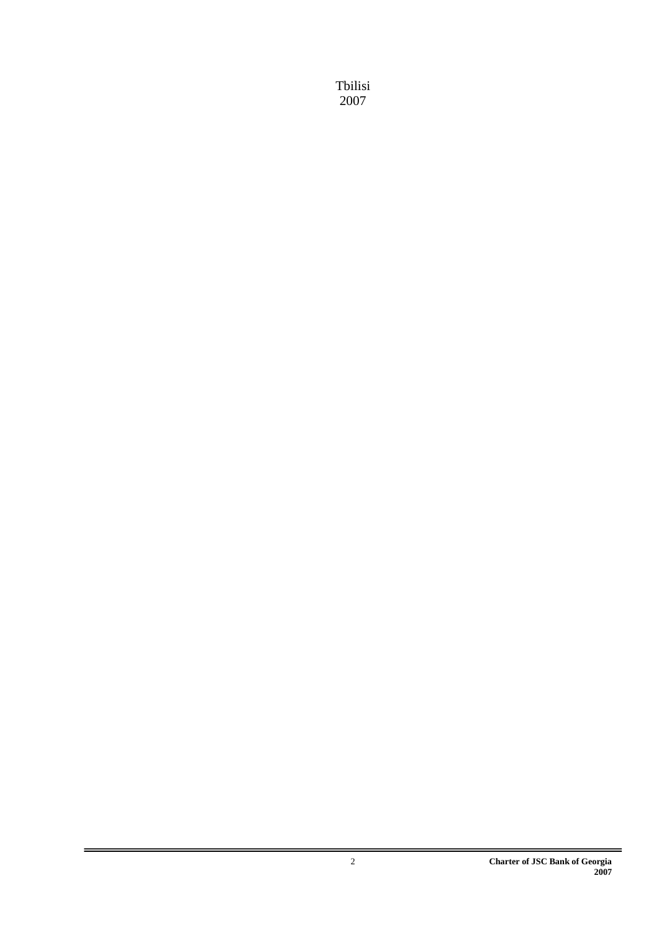Tbilisi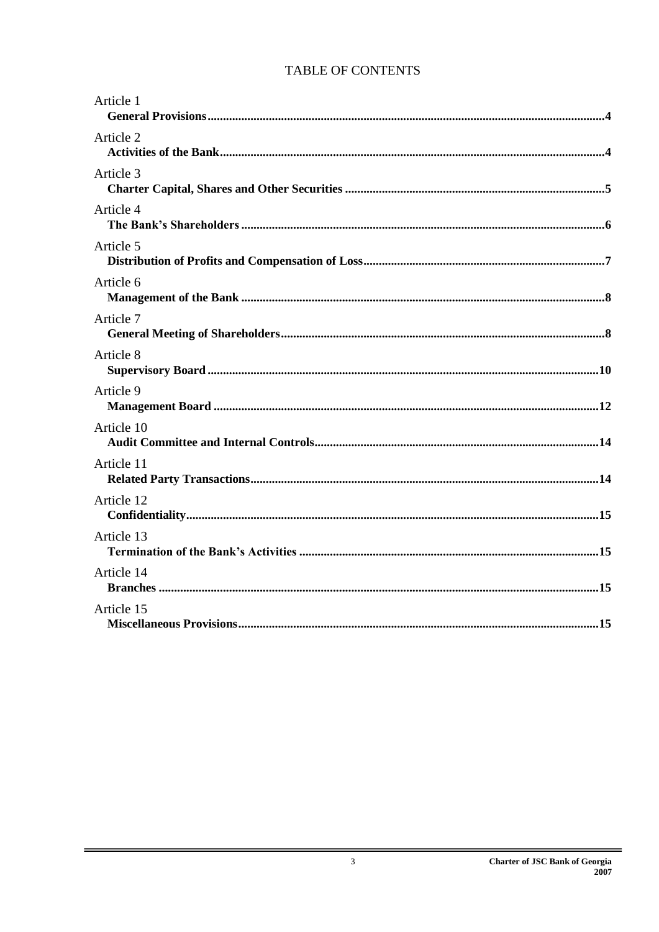### TABLE OF CONTENTS

| Article 1  |
|------------|
| Article 2  |
| Article 3  |
| Article 4  |
| Article 5  |
| Article 6  |
| Article 7  |
| Article 8  |
| Article 9  |
| Article 10 |
| Article 11 |
| Article 12 |
| Article 13 |
| Article 14 |
| Article 15 |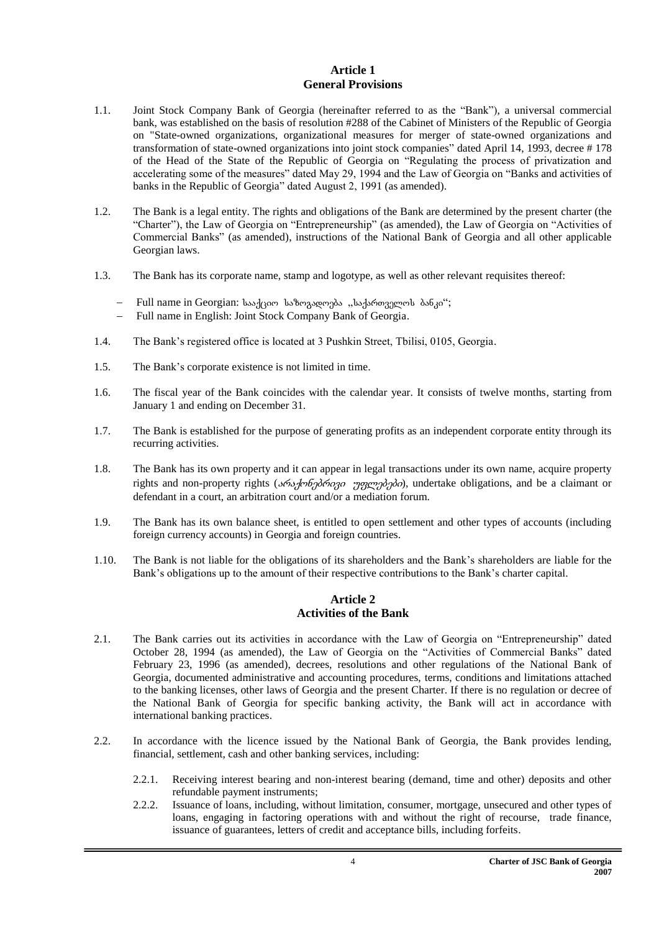#### **Article 1 General Provisions**

- <span id="page-3-1"></span><span id="page-3-0"></span>1.1. Joint Stock Company Bank of Georgia (hereinafter referred to as the "Bank"), a universal commercial bank, was established on the basis of resolution #288 of the Cabinet of Ministers of the Republic of Georgia on "State-owned organizations, organizational measures for merger of state-owned organizations and transformation of state-owned organizations into joint stock companies" dated April 14, 1993, decree # 178 of the Head of the State of the Republic of Georgia on "Regulating the process of privatization and accelerating some of the measures" dated May 29, 1994 and the Law of Georgia on "Banks and activities of banks in the Republic of Georgia" dated August 2, 1991 (as amended).
- 1.2. The Bank is a legal entity. The rights and obligations of the Bank are determined by the present charter (the "Charter"), the Law of Georgia on "Entrepreneurship" (as amended), the Law of Georgia on "Activities of Commercial Banks" (as amended), instructions of the National Bank of Georgia and all other applicable Georgian laws.
- 1.3. The Bank has its corporate name, stamp and logotype, as well as other relevant requisites thereof:
	- Full name in Georgian: basagoo babogagongas "badamanggont dabao";
	- Full name in English: Joint Stock Company Bank of Georgia.
- 1.4. The Bank's registered office is located at 3 Pushkin Street, Tbilisi, 0105, Georgia.
- 1.5. The Bank's corporate existence is not limited in time.
- 1.6. The fiscal year of the Bank coincides with the calendar year. It consists of twelve months, starting from January 1 and ending on December 31.
- 1.7. The Bank is established for the purpose of generating profits as an independent corporate entity through its recurring activities.
- 1.8. The Bank has its own property and it can appear in legal transactions under its own name, acquire property rights and non-property rights (*s6s, λοδηλόοριο γραχορληλο*), undertake obligations, and be a claimant or defendant in a court, an arbitration court and/or a mediation forum.
- 1.9. The Bank has its own balance sheet, is entitled to open settlement and other types of accounts (including foreign currency accounts) in Georgia and foreign countries.
- <span id="page-3-2"></span>1.10. The Bank is not liable for the obligations of its shareholders and the Bank's shareholders are liable for the Bank's obligations up to the amount of their respective contributions to the Bank's charter capital.

#### **Article 2 Activities of the Bank**

- <span id="page-3-3"></span>2.1. The Bank carries out its activities in accordance with the Law of Georgia on "Entrepreneurship" dated October 28, 1994 (as amended), the Law of Georgia on the "Activities of Commercial Banks" dated February 23, 1996 (as amended), decrees, resolutions and other regulations of the National Bank of Georgia, documented administrative and accounting procedures, terms, conditions and limitations attached to the banking licenses, other laws of Georgia and the present Charter. If there is no regulation or decree of the National Bank of Georgia for specific banking activity, the Bank will act in accordance with international banking practices.
- 2.2. In accordance with the licence issued by the National Bank of Georgia, the Bank provides lending, financial, settlement, cash and other banking services, including:
	- 2.2.1. Receiving interest bearing and non-interest bearing (demand, time and other) deposits and other refundable payment instruments;
	- 2.2.2. Issuance of loans, including, without limitation, consumer, mortgage, unsecured and other types of loans, engaging in factoring operations with and without the right of recourse, trade finance, issuance of guarantees, letters of credit and acceptance bills, including forfeits.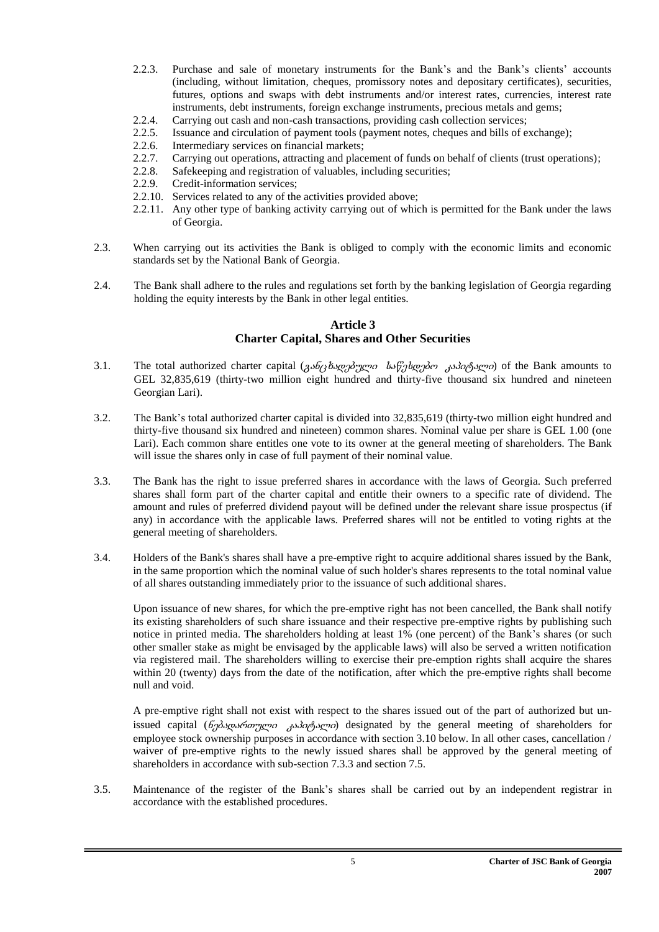- 2.2.3. Purchase and sale of monetary instruments for the Bank's and the Bank's clients' accounts (including, without limitation, cheques, promissory notes and depositary certificates), securities, futures, options and swaps with debt instruments and/or interest rates, currencies, interest rate instruments, debt instruments, foreign exchange instruments, precious metals and gems;
- 2.2.4. Carrying out cash and non-cash transactions, providing cash collection services;
- 2.2.5. Issuance and circulation of payment tools (payment notes, cheques and bills of exchange);
- 2.2.6. Intermediary services on financial markets;
- 2.2.7. Carrying out operations, attracting and placement of funds on behalf of clients (trust operations);
- 2.2.8. Safekeeping and registration of valuables, including securities;
- 2.2.9. Credit-information services;
- 2.2.10. Services related to any of the activities provided above;
- 2.2.11. Any other type of banking activity carrying out of which is permitted for the Bank under the laws of Georgia.
- 2.3. When carrying out its activities the Bank is obliged to comply with the economic limits and economic standards set by the National Bank of Georgia.
- <span id="page-4-0"></span>2.4. The Bank shall adhere to the rules and regulations set forth by the banking legislation of Georgia regarding holding the equity interests by the Bank in other legal entities.

#### **Article 3 Charter Capital, Shares and Other Securities**

- <span id="page-4-1"></span>3.1. The total authorized charter capital  $(3.66/3\frac{b_{xy}}{2})^{200}$  bs  $\frac{b_{xy}}{2}$  and  $\frac{c_{xy}}{2}$  of the Bank amounts to GEL 32,835,619 (thirty-two million eight hundred and thirty-five thousand six hundred and nineteen Georgian Lari).
- 3.2. The Bank's total authorized charter capital is divided into 32,835,619 (thirty-two million eight hundred and thirty-five thousand six hundred and nineteen) common shares. Nominal value per share is GEL 1.00 (one Lari). Each common share entitles one vote to its owner at the general meeting of shareholders. The Bank will issue the shares only in case of full payment of their nominal value.
- 3.3. The Bank has the right to issue preferred shares in accordance with the laws of Georgia. Such preferred shares shall form part of the charter capital and entitle their owners to a specific rate of dividend. The amount and rules of preferred dividend payout will be defined under the relevant share issue prospectus (if any) in accordance with the applicable laws. Preferred shares will not be entitled to voting rights at the general meeting of shareholders.
- 3.4. Holders of the Bank's shares shall have a pre-emptive right to acquire additional shares issued by the Bank, in the same proportion which the nominal value of such holder's shares represents to the total nominal value of all shares outstanding immediately prior to the issuance of such additional shares.

Upon issuance of new shares, for which the pre-emptive right has not been cancelled, the Bank shall notify its existing shareholders of such share issuance and their respective pre-emptive rights by publishing such notice in printed media. The shareholders holding at least 1% (one percent) of the Bank's shares (or such other smaller stake as might be envisaged by the applicable laws) will also be served a written notification via registered mail. The shareholders willing to exercise their pre-emption rights shall acquire the shares within 20 (twenty) days from the date of the notification, after which the pre-emptive rights shall become null and void.

A pre-emptive right shall not exist with respect to the shares issued out of the part of authorized but unissued capital ( $\delta_0\delta_2\delta_0\delta_1\gamma_0\delta_0\delta_1\delta_2\delta_0\delta_1\delta_0$ ) designated by the general meeting of shareholders for employee stock ownership purposes in accordance with section 3.10 below. In all other cases, cancellation / waiver of pre-emptive rights to the newly issued shares shall be approved by the general meeting of shareholders in accordance with sub-section 7.3.3 and section 7.5.

3.5. Maintenance of the register of the Bank's shares shall be carried out by an independent registrar in accordance with the established procedures.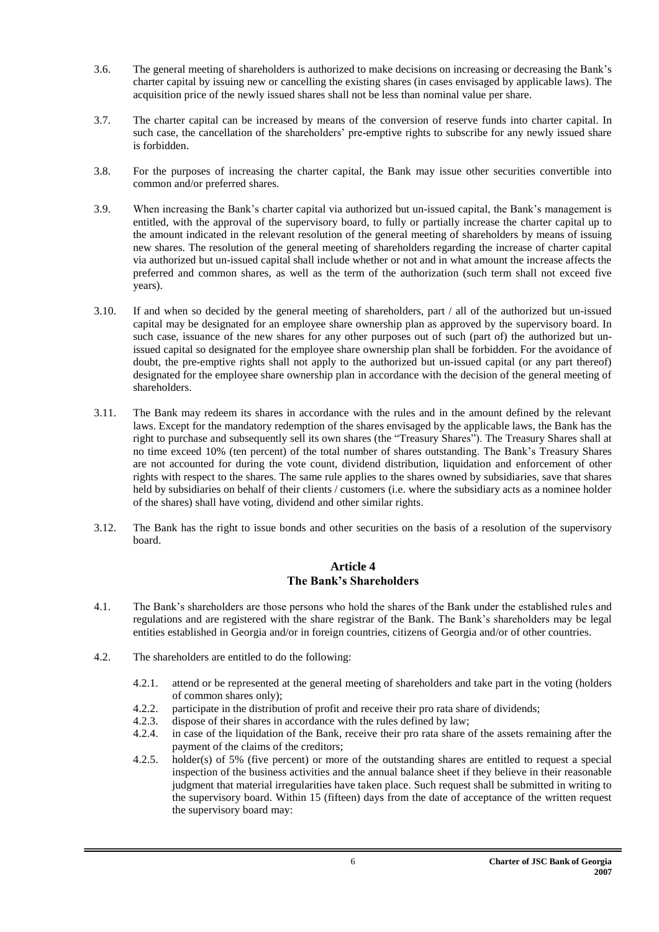- 3.6. The general meeting of shareholders is authorized to make decisions on increasing or decreasing the Bank's charter capital by issuing new or cancelling the existing shares (in cases envisaged by applicable laws). The acquisition price of the newly issued shares shall not be less than nominal value per share.
- 3.7. The charter capital can be increased by means of the conversion of reserve funds into charter capital. In such case, the cancellation of the shareholders' pre-emptive rights to subscribe for any newly issued share is forbidden.
- 3.8. For the purposes of increasing the charter capital, the Bank may issue other securities convertible into common and/or preferred shares.
- 3.9. When increasing the Bank's charter capital via authorized but un-issued capital, the Bank's management is entitled, with the approval of the supervisory board, to fully or partially increase the charter capital up to the amount indicated in the relevant resolution of the general meeting of shareholders by means of issuing new shares. The resolution of the general meeting of shareholders regarding the increase of charter capital via authorized but un-issued capital shall include whether or not and in what amount the increase affects the preferred and common shares, as well as the term of the authorization (such term shall not exceed five years).
- 3.10. If and when so decided by the general meeting of shareholders, part / all of the authorized but un-issued capital may be designated for an employee share ownership plan as approved by the supervisory board. In such case, issuance of the new shares for any other purposes out of such (part of) the authorized but unissued capital so designated for the employee share ownership plan shall be forbidden. For the avoidance of doubt, the pre-emptive rights shall not apply to the authorized but un-issued capital (or any part thereof) designated for the employee share ownership plan in accordance with the decision of the general meeting of shareholders.
- 3.11. The Bank may redeem its shares in accordance with the rules and in the amount defined by the relevant laws. Except for the mandatory redemption of the shares envisaged by the applicable laws, the Bank has the right to purchase and subsequently sell its own shares (the "Treasury Shares"). The Treasury Shares shall at no time exceed 10% (ten percent) of the total number of shares outstanding. The Bank's Treasury Shares are not accounted for during the vote count, dividend distribution, liquidation and enforcement of other rights with respect to the shares. The same rule applies to the shares owned by subsidiaries, save that shares held by subsidiaries on behalf of their clients / customers (i.e. where the subsidiary acts as a nominee holder of the shares) shall have voting, dividend and other similar rights.
- <span id="page-5-0"></span>3.12. The Bank has the right to issue bonds and other securities on the basis of a resolution of the supervisory board.

#### **Article 4 The Bank's Shareholders**

- <span id="page-5-1"></span>4.1. The Bank's shareholders are those persons who hold the shares of the Bank under the established rules and regulations and are registered with the share registrar of the Bank. The Bank's shareholders may be legal entities established in Georgia and/or in foreign countries, citizens of Georgia and/or of other countries.
- 4.2. The shareholders are entitled to do the following:
	- 4.2.1. attend or be represented at the general meeting of shareholders and take part in the voting (holders of common shares only);
	- 4.2.2. participate in the distribution of profit and receive their pro rata share of dividends;
	- 4.2.3. dispose of their shares in accordance with the rules defined by law;
	- 4.2.4. in case of the liquidation of the Bank, receive their pro rata share of the assets remaining after the payment of the claims of the creditors;
	- 4.2.5. holder(s) of 5% (five percent) or more of the outstanding shares are entitled to request a special inspection of the business activities and the annual balance sheet if they believe in their reasonable judgment that material irregularities have taken place. Such request shall be submitted in writing to the supervisory board. Within 15 (fifteen) days from the date of acceptance of the written request the supervisory board may: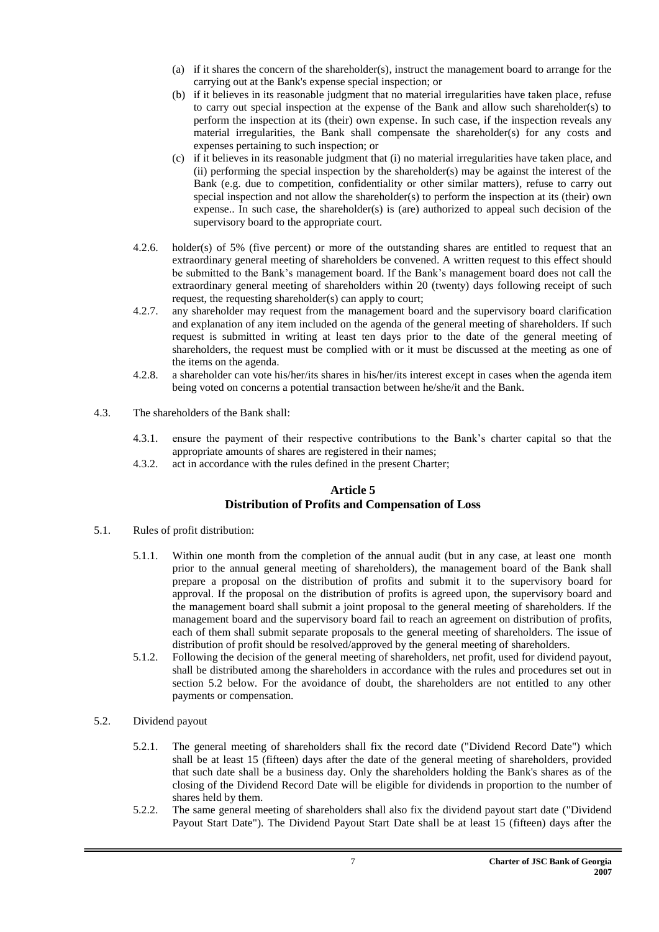- (a) if it shares the concern of the shareholder(s), instruct the management board to arrange for the carrying out at the Bank's expense special inspection; or
- (b) if it believes in its reasonable judgment that no material irregularities have taken place, refuse to carry out special inspection at the expense of the Bank and allow such shareholder(s) to perform the inspection at its (their) own expense. In such case, if the inspection reveals any material irregularities, the Bank shall compensate the shareholder(s) for any costs and expenses pertaining to such inspection; or
- (c) if it believes in its reasonable judgment that (i) no material irregularities have taken place, and (ii) performing the special inspection by the shareholder(s) may be against the interest of the Bank (e.g. due to competition, confidentiality or other similar matters), refuse to carry out special inspection and not allow the shareholder(s) to perform the inspection at its (their) own expense.. In such case, the shareholder(s) is (are) authorized to appeal such decision of the supervisory board to the appropriate court.
- 4.2.6. holder(s) of 5% (five percent) or more of the outstanding shares are entitled to request that an extraordinary general meeting of shareholders be convened. A written request to this effect should be submitted to the Bank's management board. If the Bank's management board does not call the extraordinary general meeting of shareholders within 20 (twenty) days following receipt of such request, the requesting shareholder(s) can apply to court;
- 4.2.7. any shareholder may request from the management board and the supervisory board clarification and explanation of any item included on the agenda of the general meeting of shareholders. If such request is submitted in writing at least ten days prior to the date of the general meeting of shareholders, the request must be complied with or it must be discussed at the meeting as one of the items on the agenda.
- 4.2.8. a shareholder can vote his/her/its shares in his/her/its interest except in cases when the agenda item being voted on concerns a potential transaction between he/she/it and the Bank.
- 4.3. The shareholders of the Bank shall:
	- 4.3.1. ensure the payment of their respective contributions to the Bank's charter capital so that the appropriate amounts of shares are registered in their names;
	- 4.3.2. act in accordance with the rules defined in the present Charter;

#### **Article 5 Distribution of Profits and Compensation of Loss**

- <span id="page-6-1"></span><span id="page-6-0"></span>5.1. Rules of profit distribution:
	- 5.1.1. Within one month from the completion of the annual audit (but in any case, at least one month prior to the annual general meeting of shareholders), the management board of the Bank shall prepare a proposal on the distribution of profits and submit it to the supervisory board for approval. If the proposal on the distribution of profits is agreed upon, the supervisory board and the management board shall submit a joint proposal to the general meeting of shareholders. If the management board and the supervisory board fail to reach an agreement on distribution of profits, each of them shall submit separate proposals to the general meeting of shareholders. The issue of distribution of profit should be resolved/approved by the general meeting of shareholders.
	- 5.1.2. Following the decision of the general meeting of shareholders, net profit, used for dividend payout, shall be distributed among the shareholders in accordance with the rules and procedures set out in section 5.2 below. For the avoidance of doubt, the shareholders are not entitled to any other payments or compensation.
- 5.2. Dividend payout
	- 5.2.1. The general meeting of shareholders shall fix the record date ("Dividend Record Date") which shall be at least 15 (fifteen) days after the date of the general meeting of shareholders, provided that such date shall be a business day. Only the shareholders holding the Bank's shares as of the closing of the Dividend Record Date will be eligible for dividends in proportion to the number of shares held by them.
	- 5.2.2. The same general meeting of shareholders shall also fix the dividend payout start date ("Dividend Payout Start Date"). The Dividend Payout Start Date shall be at least 15 (fifteen) days after the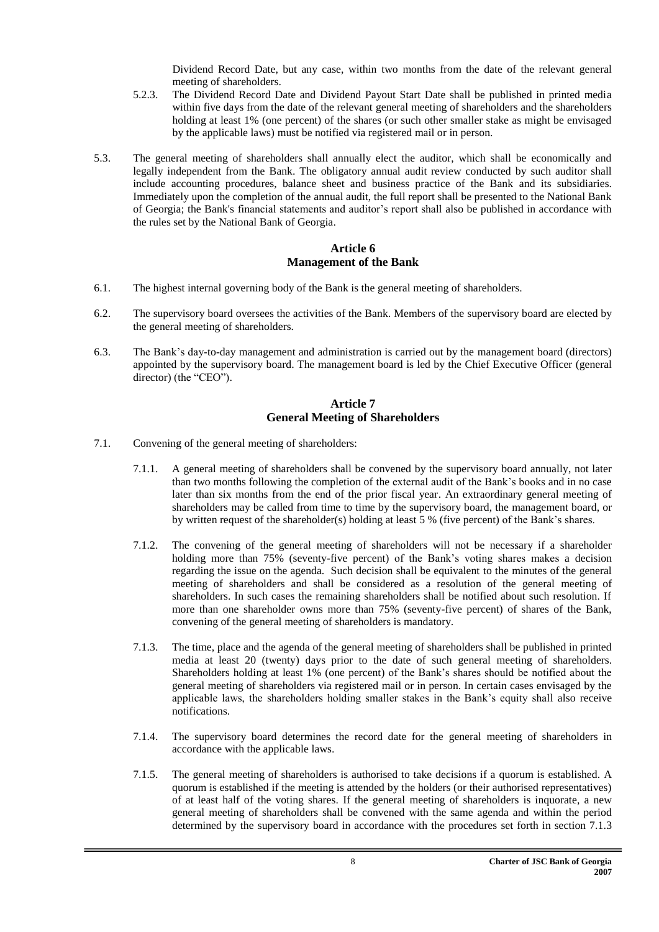Dividend Record Date, but any case, within two months from the date of the relevant general meeting of shareholders.

- 5.2.3. The Dividend Record Date and Dividend Payout Start Date shall be published in printed media within five days from the date of the relevant general meeting of shareholders and the shareholders holding at least 1% (one percent) of the shares (or such other smaller stake as might be envisaged by the applicable laws) must be notified via registered mail or in person.
- 5.3. The general meeting of shareholders shall annually elect the auditor, which shall be economically and legally independent from the Bank. The obligatory annual audit review conducted by such auditor shall include accounting procedures, balance sheet and business practice of the Bank and its subsidiaries. Immediately upon the completion of the annual audit, the full report shall be presented to the National Bank of Georgia; the Bank's financial statements and auditor's report shall also be published in accordance with the rules set by the National Bank of Georgia.

#### **Article 6 Management of the Bank**

- <span id="page-7-1"></span><span id="page-7-0"></span>6.1. The highest internal governing body of the Bank is the general meeting of shareholders.
- 6.2. The supervisory board oversees the activities of the Bank. Members of the supervisory board are elected by the general meeting of shareholders.
- 6.3. The Bank's day-to-day management and administration is carried out by the management board (directors) appointed by the supervisory board. The management board is led by the Chief Executive Officer (general director) (the "CEO").

#### **Article 7 General Meeting of Shareholders**

- <span id="page-7-3"></span><span id="page-7-2"></span>7.1. Convening of the general meeting of shareholders:
	- 7.1.1. A general meeting of shareholders shall be convened by the supervisory board annually, not later than two months following the completion of the external audit of the Bank's books and in no case later than six months from the end of the prior fiscal year. An extraordinary general meeting of shareholders may be called from time to time by the supervisory board, the management board, or by written request of the shareholder(s) holding at least 5 % (five percent) of the Bank's shares.
	- 7.1.2. The convening of the general meeting of shareholders will not be necessary if a shareholder holding more than 75% (seventy-five percent) of the Bank's voting shares makes a decision regarding the issue on the agenda. Such decision shall be equivalent to the minutes of the general meeting of shareholders and shall be considered as a resolution of the general meeting of shareholders. In such cases the remaining shareholders shall be notified about such resolution. If more than one shareholder owns more than 75% (seventy-five percent) of shares of the Bank, convening of the general meeting of shareholders is mandatory.
	- 7.1.3. The time, place and the agenda of the general meeting of shareholders shall be published in printed media at least 20 (twenty) days prior to the date of such general meeting of shareholders. Shareholders holding at least 1% (one percent) of the Bank's shares should be notified about the general meeting of shareholders via registered mail or in person. In certain cases envisaged by the applicable laws, the shareholders holding smaller stakes in the Bank's equity shall also receive notifications.
	- 7.1.4. The supervisory board determines the record date for the general meeting of shareholders in accordance with the applicable laws.
	- 7.1.5. The general meeting of shareholders is authorised to take decisions if a quorum is established. A quorum is established if the meeting is attended by the holders (or their authorised representatives) of at least half of the voting shares. If the general meeting of shareholders is inquorate, a new general meeting of shareholders shall be convened with the same agenda and within the period determined by the supervisory board in accordance with the procedures set forth in section 7.1.3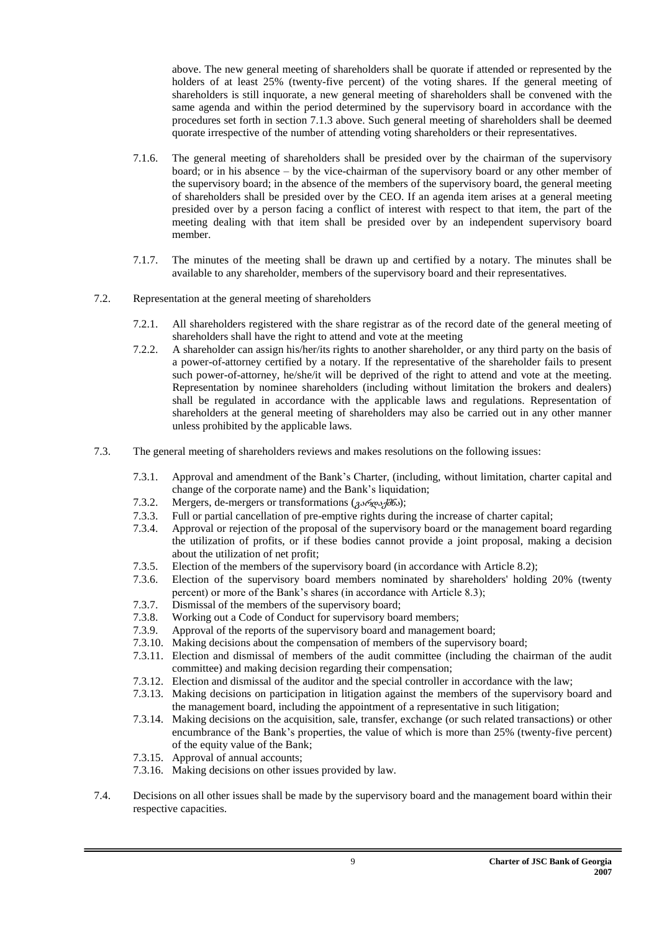above. The new general meeting of shareholders shall be quorate if attended or represented by the holders of at least 25% (twenty-five percent) of the voting shares. If the general meeting of shareholders is still inquorate, a new general meeting of shareholders shall be convened with the same agenda and within the period determined by the supervisory board in accordance with the procedures set forth in section 7.1.3 above. Such general meeting of shareholders shall be deemed quorate irrespective of the number of attending voting shareholders or their representatives.

- 7.1.6. The general meeting of shareholders shall be presided over by the chairman of the supervisory board; or in his absence – by the vice-chairman of the supervisory board or any other member of the supervisory board; in the absence of the members of the supervisory board, the general meeting of shareholders shall be presided over by the CEO. If an agenda item arises at a general meeting presided over by a person facing a conflict of interest with respect to that item, the part of the meeting dealing with that item shall be presided over by an independent supervisory board member.
- 7.1.7. The minutes of the meeting shall be drawn up and certified by a notary. The minutes shall be available to any shareholder, members of the supervisory board and their representatives.
- 7.2. Representation at the general meeting of shareholders
	- 7.2.1. All shareholders registered with the share registrar as of the record date of the general meeting of shareholders shall have the right to attend and vote at the meeting
	- 7.2.2. A shareholder can assign his/her/its rights to another shareholder, or any third party on the basis of a power-of-attorney certified by a notary. If the representative of the shareholder fails to present such power-of-attorney, he/she/it will be deprived of the right to attend and vote at the meeting. Representation by nominee shareholders (including without limitation the brokers and dealers) shall be regulated in accordance with the applicable laws and regulations. Representation of shareholders at the general meeting of shareholders may also be carried out in any other manner unless prohibited by the applicable laws.
- 7.3. The general meeting of shareholders reviews and makes resolutions on the following issues:
	- 7.3.1. Approval and amendment of the Bank's Charter, (including, without limitation, charter capital and change of the corporate name) and the Bank's liquidation;
	- 7.3.2. Mergers, de-mergers or transformations  $(g\rightarrow\pi\phi)$ ;
	- 7.3.3. Full or partial cancellation of pre-emptive rights during the increase of charter capital;
	- 7.3.4. Approval or rejection of the proposal of the supervisory board or the management board regarding the utilization of profits, or if these bodies cannot provide a joint proposal, making a decision about the utilization of net profit;
	- 7.3.5. Election of the members of the supervisory board (in accordance with Article 8.2);
	- 7.3.6. Election of the supervisory board members nominated by shareholders' holding 20% (twenty percent) or more of the Bank's shares (in accordance with Article 8.3);
	- 7.3.7. Dismissal of the members of the supervisory board;
	- 7.3.8. Working out a Code of Conduct for supervisory board members;
	- 7.3.9. Approval of the reports of the supervisory board and management board;
	- 7.3.10. Making decisions about the compensation of members of the supervisory board;
	- 7.3.11. Election and dismissal of members of the audit committee (including the chairman of the audit committee) and making decision regarding their compensation;
	- 7.3.12. Election and dismissal of the auditor and the special controller in accordance with the law;
	- 7.3.13. Making decisions on participation in litigation against the members of the supervisory board and the management board, including the appointment of a representative in such litigation;
	- 7.3.14. Making decisions on the acquisition, sale, transfer, exchange (or such related transactions) or other encumbrance of the Bank's properties, the value of which is more than 25% (twenty-five percent) of the equity value of the Bank;
	- 7.3.15. Approval of annual accounts;
	- 7.3.16. Making decisions on other issues provided by law.
- 7.4. Decisions on all other issues shall be made by the supervisory board and the management board within their respective capacities.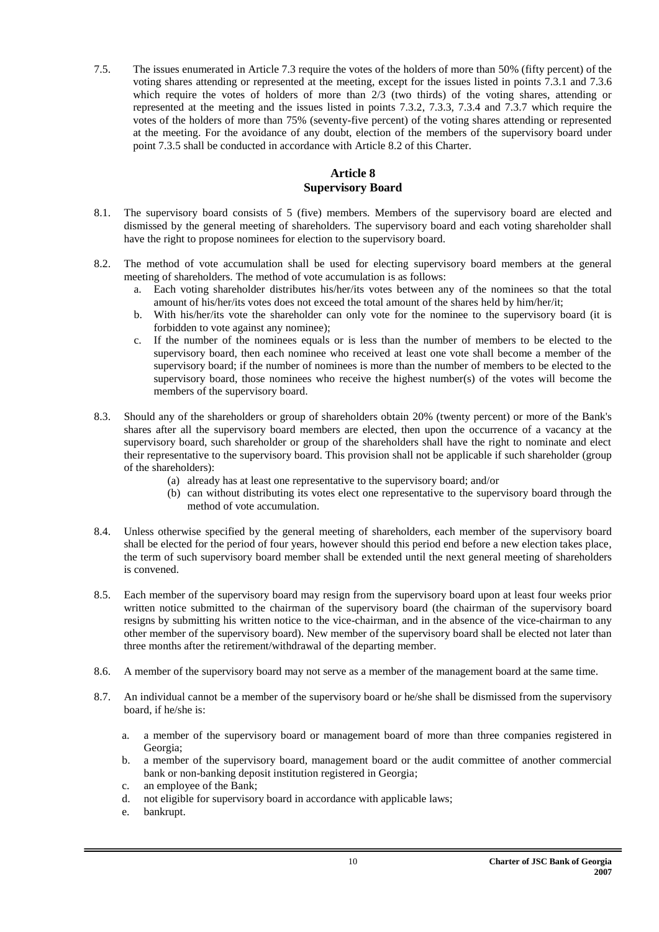7.5. The issues enumerated in Article 7.3 require the votes of the holders of more than 50% (fifty percent) of the voting shares attending or represented at the meeting, except for the issues listed in points 7.3.1 and 7.3.6 which require the votes of holders of more than 2/3 (two thirds) of the voting shares, attending or represented at the meeting and the issues listed in points 7.3.2, 7.3.3, 7.3.4 and 7.3.7 which require the votes of the holders of more than 75% (seventy-five percent) of the voting shares attending or represented at the meeting. For the avoidance of any doubt, election of the members of the supervisory board under point 7.3.5 shall be conducted in accordance with Article 8.2 of this Charter.

#### **Article 8 Supervisory Board**

- <span id="page-9-1"></span><span id="page-9-0"></span>8.1. The supervisory board consists of 5 (five) members. Members of the supervisory board are elected and dismissed by the general meeting of shareholders. The supervisory board and each voting shareholder shall have the right to propose nominees for election to the supervisory board.
- 8.2. The method of vote accumulation shall be used for electing supervisory board members at the general meeting of shareholders. The method of vote accumulation is as follows:
	- a. Each voting shareholder distributes his/her/its votes between any of the nominees so that the total amount of his/her/its votes does not exceed the total amount of the shares held by him/her/it;
	- b. With his/her/its vote the shareholder can only vote for the nominee to the supervisory board (it is forbidden to vote against any nominee);
	- c. If the number of the nominees equals or is less than the number of members to be elected to the supervisory board, then each nominee who received at least one vote shall become a member of the supervisory board; if the number of nominees is more than the number of members to be elected to the supervisory board, those nominees who receive the highest number(s) of the votes will become the members of the supervisory board.
- 8.3. Should any of the shareholders or group of shareholders obtain 20% (twenty percent) or more of the Bank's shares after all the supervisory board members are elected, then upon the occurrence of a vacancy at the supervisory board, such shareholder or group of the shareholders shall have the right to nominate and elect their representative to the supervisory board. This provision shall not be applicable if such shareholder (group of the shareholders):
	- (a) already has at least one representative to the supervisory board; and/or
	- (b) can without distributing its votes elect one representative to the supervisory board through the method of vote accumulation.
- 8.4. Unless otherwise specified by the general meeting of shareholders, each member of the supervisory board shall be elected for the period of four years, however should this period end before a new election takes place, the term of such supervisory board member shall be extended until the next general meeting of shareholders is convened.
- 8.5. Each member of the supervisory board may resign from the supervisory board upon at least four weeks prior written notice submitted to the chairman of the supervisory board (the chairman of the supervisory board resigns by submitting his written notice to the vice-chairman, and in the absence of the vice-chairman to any other member of the supervisory board). New member of the supervisory board shall be elected not later than three months after the retirement/withdrawal of the departing member.
- 8.6. A member of the supervisory board may not serve as a member of the management board at the same time.
- 8.7. An individual cannot be a member of the supervisory board or he/she shall be dismissed from the supervisory board, if he/she is:
	- a. a member of the supervisory board or management board of more than three companies registered in Georgia;
	- b. a member of the supervisory board, management board or the audit committee of another commercial bank or non-banking deposit institution registered in Georgia;
	- c. an employee of the Bank;
	- d. not eligible for supervisory board in accordance with applicable laws;
	- e. bankrupt.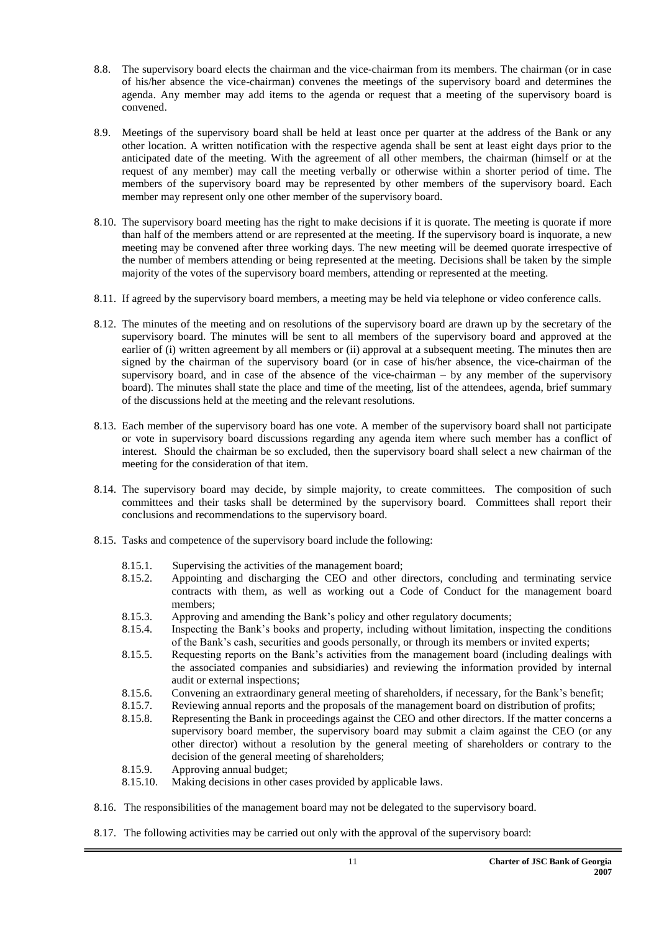- 8.8. The supervisory board elects the chairman and the vice-chairman from its members. The chairman (or in case of his/her absence the vice-chairman) convenes the meetings of the supervisory board and determines the agenda. Any member may add items to the agenda or request that a meeting of the supervisory board is convened.
- 8.9. Meetings of the supervisory board shall be held at least once per quarter at the address of the Bank or any other location. A written notification with the respective agenda shall be sent at least eight days prior to the anticipated date of the meeting. With the agreement of all other members, the chairman (himself or at the request of any member) may call the meeting verbally or otherwise within a shorter period of time. The members of the supervisory board may be represented by other members of the supervisory board. Each member may represent only one other member of the supervisory board.
- 8.10. The supervisory board meeting has the right to make decisions if it is quorate. The meeting is quorate if more than half of the members attend or are represented at the meeting. If the supervisory board is inquorate, a new meeting may be convened after three working days. The new meeting will be deemed quorate irrespective of the number of members attending or being represented at the meeting. Decisions shall be taken by the simple majority of the votes of the supervisory board members, attending or represented at the meeting.
- 8.11. If agreed by the supervisory board members, a meeting may be held via telephone or video conference calls.
- 8.12. The minutes of the meeting and on resolutions of the supervisory board are drawn up by the secretary of the supervisory board. The minutes will be sent to all members of the supervisory board and approved at the earlier of (i) written agreement by all members or (ii) approval at a subsequent meeting. The minutes then are signed by the chairman of the supervisory board (or in case of his/her absence, the vice-chairman of the supervisory board, and in case of the absence of the vice-chairman – by any member of the supervisory board). The minutes shall state the place and time of the meeting, list of the attendees, agenda, brief summary of the discussions held at the meeting and the relevant resolutions.
- 8.13. Each member of the supervisory board has one vote. A member of the supervisory board shall not participate or vote in supervisory board discussions regarding any agenda item where such member has a conflict of interest. Should the chairman be so excluded, then the supervisory board shall select a new chairman of the meeting for the consideration of that item.
- 8.14. The supervisory board may decide, by simple majority, to create committees. The composition of such committees and their tasks shall be determined by the supervisory board. Committees shall report their conclusions and recommendations to the supervisory board.
- 8.15. Tasks and competence of the supervisory board include the following:
	- 8.15.1. Supervising the activities of the management board;
	- 8.15.2. Appointing and discharging the CEO and other directors, concluding and terminating service contracts with them, as well as working out a Code of Conduct for the management board members;
	- 8.15.3. Approving and amending the Bank's policy and other regulatory documents;
	- 8.15.4. Inspecting the Bank's books and property, including without limitation, inspecting the conditions of the Bank's cash, securities and goods personally, or through its members or invited experts;
	- 8.15.5. Requesting reports on the Bank's activities from the management board (including dealings with the associated companies and subsidiaries) and reviewing the information provided by internal audit or external inspections;
	- 8.15.6. Convening an extraordinary general meeting of shareholders, if necessary, for the Bank's benefit;
	- 8.15.7. Reviewing annual reports and the proposals of the management board on distribution of profits;
	- 8.15.8. Representing the Bank in proceedings against the CEO and other directors. If the matter concerns a supervisory board member, the supervisory board may submit a claim against the CEO (or any other director) without a resolution by the general meeting of shareholders or contrary to the decision of the general meeting of shareholders;
	- 8.15.9. Approving annual budget;
	- 8.15.10. Making decisions in other cases provided by applicable laws.
- 8.16. The responsibilities of the management board may not be delegated to the supervisory board.
- 8.17. The following activities may be carried out only with the approval of the supervisory board: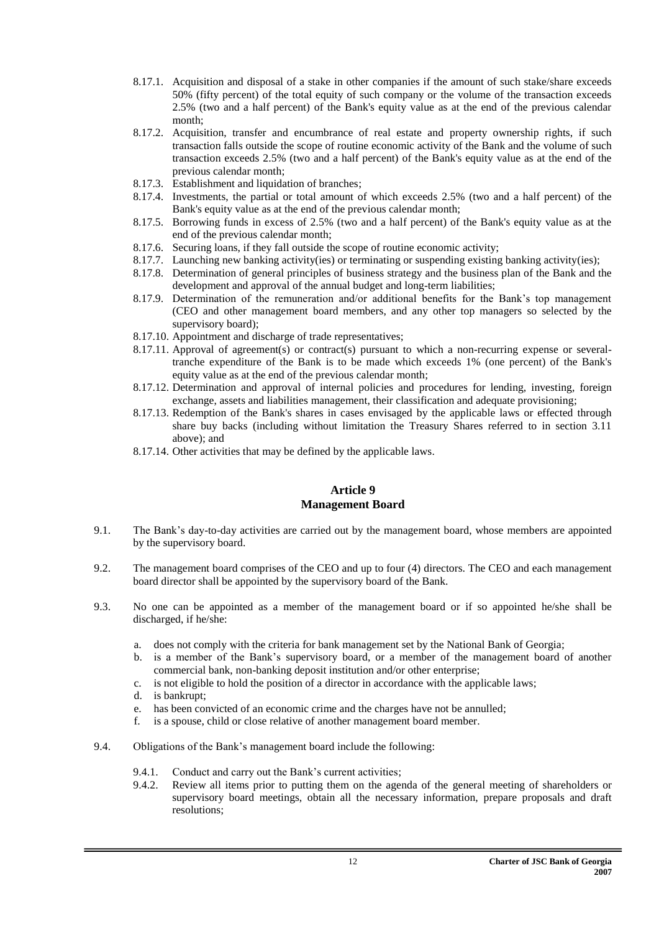- 8.17.1. Acquisition and disposal of a stake in other companies if the amount of such stake/share exceeds 50% (fifty percent) of the total equity of such company or the volume of the transaction exceeds 2.5% (two and a half percent) of the Bank's equity value as at the end of the previous calendar month;
- 8.17.2. Acquisition, transfer and encumbrance of real estate and property ownership rights, if such transaction falls outside the scope of routine economic activity of the Bank and the volume of such transaction exceeds 2.5% (two and a half percent) of the Bank's equity value as at the end of the previous calendar month;
- 8.17.3. Establishment and liquidation of branches;
- 8.17.4. Investments, the partial or total amount of which exceeds 2.5% (two and a half percent) of the Bank's equity value as at the end of the previous calendar month;
- 8.17.5. Borrowing funds in excess of 2.5% (two and a half percent) of the Bank's equity value as at the end of the previous calendar month;
- 8.17.6. Securing loans, if they fall outside the scope of routine economic activity;
- 8.17.7. Launching new banking activity(ies) or terminating or suspending existing banking activity(ies);
- 8.17.8. Determination of general principles of business strategy and the business plan of the Bank and the development and approval of the annual budget and long-term liabilities;
- 8.17.9. Determination of the remuneration and/or additional benefits for the Bank's top management (CEO and other management board members, and any other top managers so selected by the supervisory board);
- 8.17.10. Appointment and discharge of trade representatives;
- 8.17.11. Approval of agreement(s) or contract(s) pursuant to which a non-recurring expense or severaltranche expenditure of the Bank is to be made which exceeds 1% (one percent) of the Bank's equity value as at the end of the previous calendar month;
- 8.17.12. Determination and approval of internal policies and procedures for lending, investing, foreign exchange, assets and liabilities management, their classification and adequate provisioning;
- 8.17.13. Redemption of the Bank's shares in cases envisaged by the applicable laws or effected through share buy backs (including without limitation the Treasury Shares referred to in section 3.11 above); and
- 8.17.14. Other activities that may be defined by the applicable laws.

#### **Article 9 Management Board**

- <span id="page-11-1"></span><span id="page-11-0"></span>9.1. The Bank's day-to-day activities are carried out by the management board, whose members are appointed by the supervisory board.
- 9.2. The management board comprises of the CEO and up to four (4) directors. The CEO and each management board director shall be appointed by the supervisory board of the Bank.
- 9.3. No one can be appointed as a member of the management board or if so appointed he/she shall be discharged, if he/she:
	- a. does not comply with the criteria for bank management set by the National Bank of Georgia;
	- b. is a member of the Bank's supervisory board, or a member of the management board of another commercial bank, non-banking deposit institution and/or other enterprise;
	- c. is not eligible to hold the position of a director in accordance with the applicable laws;
	- d. is bankrupt;
	- e. has been convicted of an economic crime and the charges have not be annulled;
	- f. is a spouse, child or close relative of another management board member.
- 9.4. Obligations of the Bank's management board include the following:
	- 9.4.1. Conduct and carry out the Bank's current activities;
	- 9.4.2. Review all items prior to putting them on the agenda of the general meeting of shareholders or supervisory board meetings, obtain all the necessary information, prepare proposals and draft resolutions;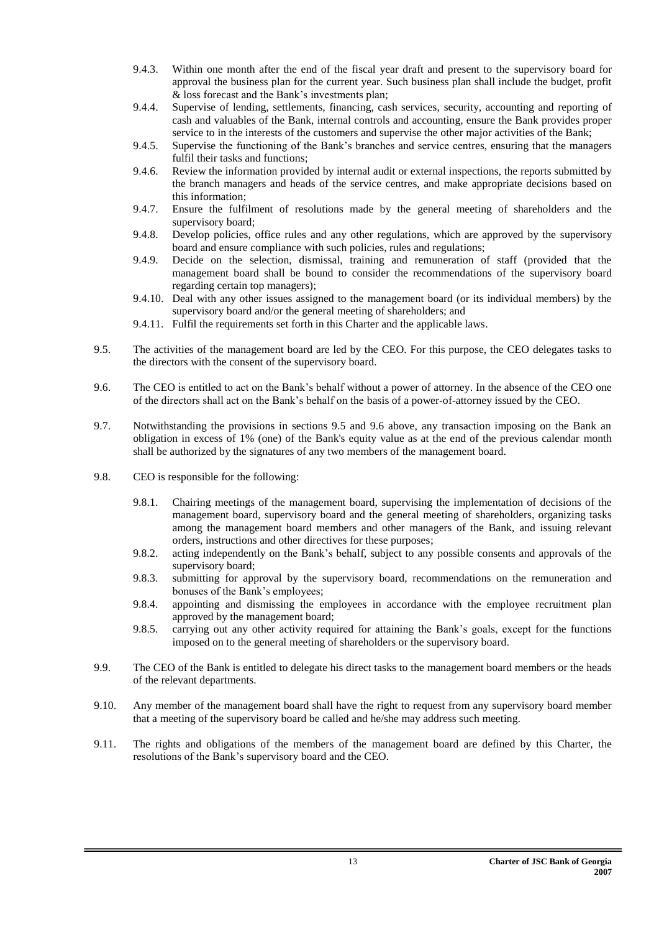- 9.4.3. Within one month after the end of the fiscal year draft and present to the supervisory board for approval the business plan for the current year. Such business plan shall include the budget, profit & loss forecast and the Bank's investments plan;
- 9.4.4. Supervise of lending, settlements, financing, cash services, security, accounting and reporting of cash and valuables of the Bank, internal controls and accounting, ensure the Bank provides proper service to in the interests of the customers and supervise the other major activities of the Bank;
- 9.4.5. Supervise the functioning of the Bank's branches and service centres, ensuring that the managers fulfil their tasks and functions;
- 9.4.6. Review the information provided by internal audit or external inspections, the reports submitted by the branch managers and heads of the service centres, and make appropriate decisions based on this information;
- 9.4.7. Ensure the fulfilment of resolutions made by the general meeting of shareholders and the supervisory board;
- 9.4.8. Develop policies, office rules and any other regulations, which are approved by the supervisory board and ensure compliance with such policies, rules and regulations;
- 9.4.9. Decide on the selection, dismissal, training and remuneration of staff (provided that the management board shall be bound to consider the recommendations of the supervisory board regarding certain top managers);
- 9.4.10. Deal with any other issues assigned to the management board (or its individual members) by the supervisory board and/or the general meeting of shareholders; and
- 9.4.11. Fulfil the requirements set forth in this Charter and the applicable laws.
- 9.5. The activities of the management board are led by the CEO. For this purpose, the CEO delegates tasks to the directors with the consent of the supervisory board.
- 9.6. The CEO is entitled to act on the Bank's behalf without a power of attorney. In the absence of the CEO one of the directors shall act on the Bank's behalf on the basis of a power-of-attorney issued by the CEO.
- 9.7. Notwithstanding the provisions in sections 9.5 and 9.6 above, any transaction imposing on the Bank an obligation in excess of 1% (one) of the Bank's equity value as at the end of the previous calendar month shall be authorized by the signatures of any two members of the management board.
- 9.8. CEO is responsible for the following:
	- 9.8.1. Chairing meetings of the management board, supervising the implementation of decisions of the management board, supervisory board and the general meeting of shareholders, organizing tasks among the management board members and other managers of the Bank, and issuing relevant orders, instructions and other directives for these purposes;
	- 9.8.2. acting independently on the Bank's behalf, subject to any possible consents and approvals of the supervisory board;
	- 9.8.3. submitting for approval by the supervisory board, recommendations on the remuneration and bonuses of the Bank's employees;
	- 9.8.4. appointing and dismissing the employees in accordance with the employee recruitment plan approved by the management board;
	- 9.8.5. carrying out any other activity required for attaining the Bank's goals, except for the functions imposed on to the general meeting of shareholders or the supervisory board.
- 9.9. The CEO of the Bank is entitled to delegate his direct tasks to the management board members or the heads of the relevant departments.
- 9.10. Any member of the management board shall have the right to request from any supervisory board member that a meeting of the supervisory board be called and he/she may address such meeting.
- 9.11. The rights and obligations of the members of the management board are defined by this Charter, the resolutions of the Bank's supervisory board and the CEO.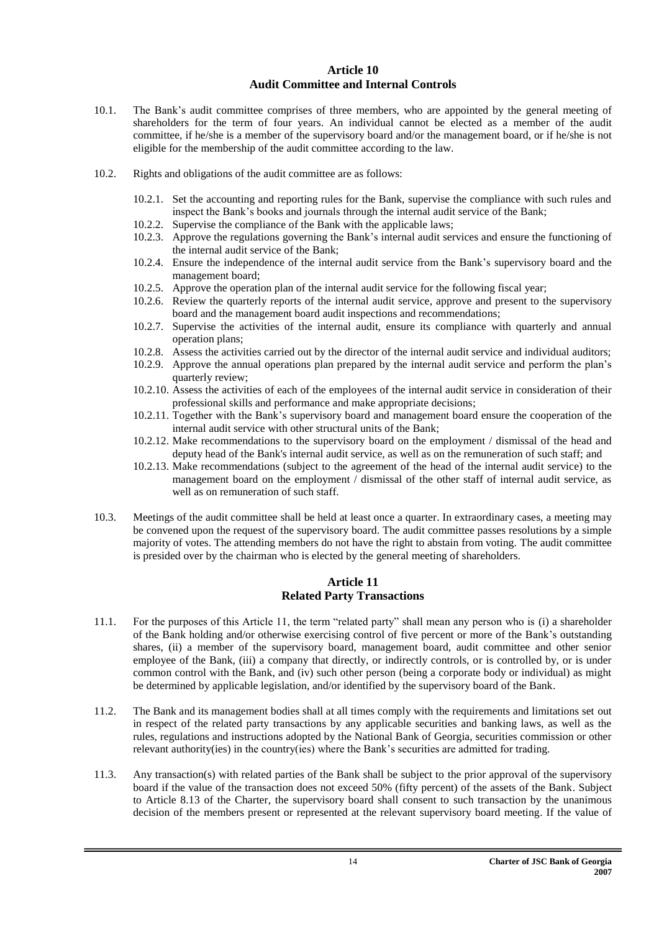#### **Article 10 Audit Committee and Internal Controls**

- <span id="page-13-1"></span><span id="page-13-0"></span>10.1. The Bank's audit committee comprises of three members, who are appointed by the general meeting of shareholders for the term of four years. An individual cannot be elected as a member of the audit committee, if he/she is a member of the supervisory board and/or the management board, or if he/she is not eligible for the membership of the audit committee according to the law.
- 10.2. Rights and obligations of the audit committee are as follows:
	- 10.2.1. Set the accounting and reporting rules for the Bank, supervise the compliance with such rules and inspect the Bank's books and journals through the internal audit service of the Bank;
	- 10.2.2. Supervise the compliance of the Bank with the applicable laws;
	- 10.2.3. Approve the regulations governing the Bank's internal audit services and ensure the functioning of the internal audit service of the Bank;
	- 10.2.4. Ensure the independence of the internal audit service from the Bank's supervisory board and the management board;
	- 10.2.5. Approve the operation plan of the internal audit service for the following fiscal year;
	- 10.2.6. Review the quarterly reports of the internal audit service, approve and present to the supervisory board and the management board audit inspections and recommendations;
	- 10.2.7. Supervise the activities of the internal audit, ensure its compliance with quarterly and annual operation plans;
	- 10.2.8. Assess the activities carried out by the director of the internal audit service and individual auditors;
	- 10.2.9. Approve the annual operations plan prepared by the internal audit service and perform the plan's quarterly review;
	- 10.2.10. Assess the activities of each of the employees of the internal audit service in consideration of their professional skills and performance and make appropriate decisions;
	- 10.2.11. Together with the Bank's supervisory board and management board ensure the cooperation of the internal audit service with other structural units of the Bank;
	- 10.2.12. Make recommendations to the supervisory board on the employment / dismissal of the head and deputy head of the Bank's internal audit service, as well as on the remuneration of such staff; and
	- 10.2.13. Make recommendations (subject to the agreement of the head of the internal audit service) to the management board on the employment / dismissal of the other staff of internal audit service, as well as on remuneration of such staff.
- 10.3. Meetings of the audit committee shall be held at least once a quarter. In extraordinary cases, a meeting may be convened upon the request of the supervisory board. The audit committee passes resolutions by a simple majority of votes. The attending members do not have the right to abstain from voting. The audit committee is presided over by the chairman who is elected by the general meeting of shareholders.

#### **Article 11 Related Party Transactions**

- <span id="page-13-3"></span><span id="page-13-2"></span>11.1. For the purposes of this Article 11, the term "related party" shall mean any person who is (i) a shareholder of the Bank holding and/or otherwise exercising control of five percent or more of the Bank's outstanding shares, (ii) a member of the supervisory board, management board, audit committee and other senior employee of the Bank, (iii) a company that directly, or indirectly controls, or is controlled by, or is under common control with the Bank, and (iv) such other person (being a corporate body or individual) as might be determined by applicable legislation, and/or identified by the supervisory board of the Bank.
- 11.2. The Bank and its management bodies shall at all times comply with the requirements and limitations set out in respect of the related party transactions by any applicable securities and banking laws, as well as the rules, regulations and instructions adopted by the National Bank of Georgia, securities commission or other relevant authority(ies) in the country(ies) where the Bank's securities are admitted for trading.
- 11.3. Any transaction(s) with related parties of the Bank shall be subject to the prior approval of the supervisory board if the value of the transaction does not exceed 50% (fifty percent) of the assets of the Bank. Subject to Article 8.13 of the Charter, the supervisory board shall consent to such transaction by the unanimous decision of the members present or represented at the relevant supervisory board meeting. If the value of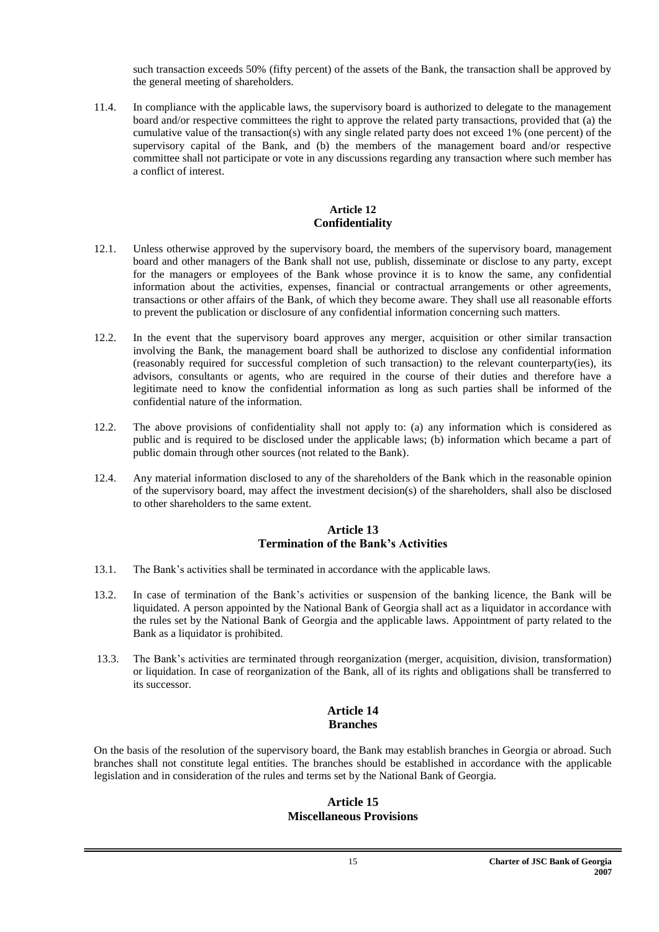such transaction exceeds 50% (fifty percent) of the assets of the Bank, the transaction shall be approved by the general meeting of shareholders.

11.4. In compliance with the applicable laws, the supervisory board is authorized to delegate to the management board and/or respective committees the right to approve the related party transactions, provided that (a) the cumulative value of the transaction(s) with any single related party does not exceed 1% (one percent) of the supervisory capital of the Bank, and (b) the members of the management board and/or respective committee shall not participate or vote in any discussions regarding any transaction where such member has a conflict of interest.

#### **Article 12 Confidentiality**

- <span id="page-14-1"></span><span id="page-14-0"></span>12.1. Unless otherwise approved by the supervisory board, the members of the supervisory board, management board and other managers of the Bank shall not use, publish, disseminate or disclose to any party, except for the managers or employees of the Bank whose province it is to know the same, any confidential information about the activities, expenses, financial or contractual arrangements or other agreements, transactions or other affairs of the Bank, of which they become aware. They shall use all reasonable efforts to prevent the publication or disclosure of any confidential information concerning such matters.
- 12.2. In the event that the supervisory board approves any merger, acquisition or other similar transaction involving the Bank, the management board shall be authorized to disclose any confidential information (reasonably required for successful completion of such transaction) to the relevant counterparty(ies), its advisors, consultants or agents, who are required in the course of their duties and therefore have a legitimate need to know the confidential information as long as such parties shall be informed of the confidential nature of the information.
- 12.2. The above provisions of confidentiality shall not apply to: (a) any information which is considered as public and is required to be disclosed under the applicable laws; (b) information which became a part of public domain through other sources (not related to the Bank).
- 12.4. Any material information disclosed to any of the shareholders of the Bank which in the reasonable opinion of the supervisory board, may affect the investment decision(s) of the shareholders, shall also be disclosed to other shareholders to the same extent.

#### **Article 13 Termination of the Bank's Activities**

- <span id="page-14-3"></span><span id="page-14-2"></span>13.1. The Bank's activities shall be terminated in accordance with the applicable laws.
- 13.2. In case of termination of the Bank's activities or suspension of the banking licence, the Bank will be liquidated. A person appointed by the National Bank of Georgia shall act as a liquidator in accordance with the rules set by the National Bank of Georgia and the applicable laws. Appointment of party related to the Bank as a liquidator is prohibited.
- 13.3. The Bank's activities are terminated through reorganization (merger, acquisition, division, transformation) or liquidation. In case of reorganization of the Bank, all of its rights and obligations shall be transferred to its successor.

#### **Article 14 Branches**

<span id="page-14-7"></span><span id="page-14-6"></span><span id="page-14-5"></span><span id="page-14-4"></span>On the basis of the resolution of the supervisory board, the Bank may establish branches in Georgia or abroad. Such branches shall not constitute legal entities. The branches should be established in accordance with the applicable legislation and in consideration of the rules and terms set by the National Bank of Georgia.

#### **Article 15 Miscellaneous Provisions**